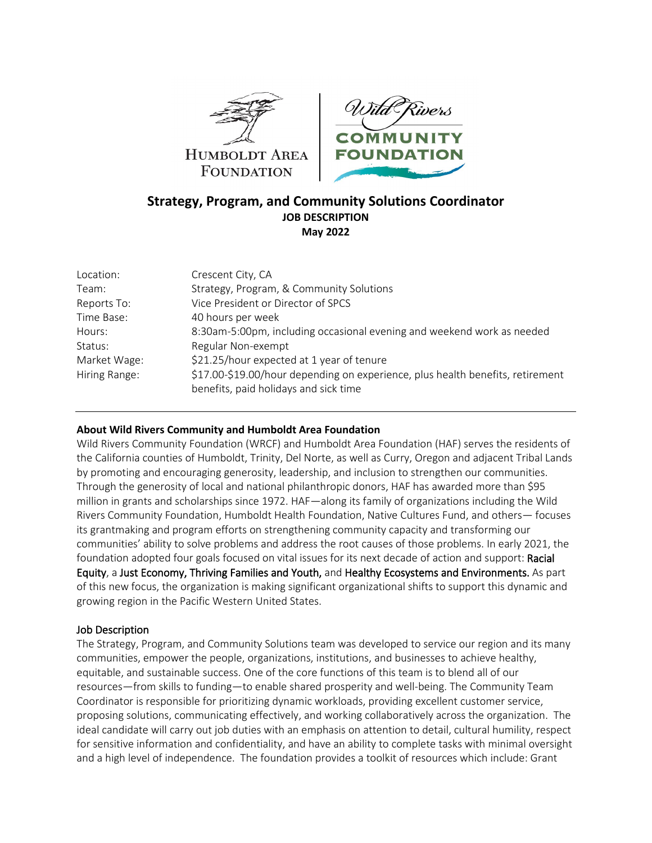



# **Strategy, Program, and Community Solutions Coordinator JOB DESCRIPTION May 2022**

| Location:     | Crescent City, CA                                                              |
|---------------|--------------------------------------------------------------------------------|
| Team:         | Strategy, Program, & Community Solutions                                       |
| Reports To:   | Vice President or Director of SPCS                                             |
| Time Base:    | 40 hours per week                                                              |
| Hours:        | 8:30am-5:00pm, including occasional evening and weekend work as needed         |
| Status:       | Regular Non-exempt                                                             |
| Market Wage:  | \$21.25/hour expected at 1 year of tenure                                      |
| Hiring Range: | \$17.00-\$19.00/hour depending on experience, plus health benefits, retirement |
|               | benefits, paid holidays and sick time                                          |

### **About Wild Rivers Community and Humboldt Area Foundation**

Wild Rivers Community Foundation (WRCF) and Humboldt Area Foundation (HAF) serves the residents of the California counties of Humboldt, Trinity, Del Norte, as well as Curry, Oregon and adjacent Tribal Lands by promoting and encouraging generosity, leadership, and inclusion to strengthen our communities. Through the generosity of local and national philanthropic donors, HAF has awarded more than \$95 million in grants and scholarships since 1972. HAF—along its family of organizations including the Wild Rivers Community Foundation, Humboldt Health Foundation, Native Cultures Fund, and others— focuses its grantmaking and program efforts on strengthening community capacity and transforming our communities' ability to solve problems and address the root causes of those problems. In early 2021, the foundation adopted four goals focused on vital issues for its next decade of action and support: Racial Equity, a Just Economy, Thriving Families and Youth, and Healthy Ecosystems and Environments. As part of this new focus, the organization is making significant organizational shifts to support this dynamic and growing region in the Pacific Western United States.

### Job Description

The Strategy, Program, and Community Solutions team was developed to service our region and its many communities, empower the people, organizations, institutions, and businesses to achieve healthy, equitable, and sustainable success. One of the core functions of this team is to blend all of our resources—from skills to funding—to enable shared prosperity and well-being. The Community Team Coordinator is responsible for prioritizing dynamic workloads, providing excellent customer service, proposing solutions, communicating effectively, and working collaboratively across the organization. The ideal candidate will carry out job duties with an emphasis on attention to detail, cultural humility, respect for sensitive information and confidentiality, and have an ability to complete tasks with minimal oversight and a high level of independence. The foundation provides a toolkit of resources which include: Grant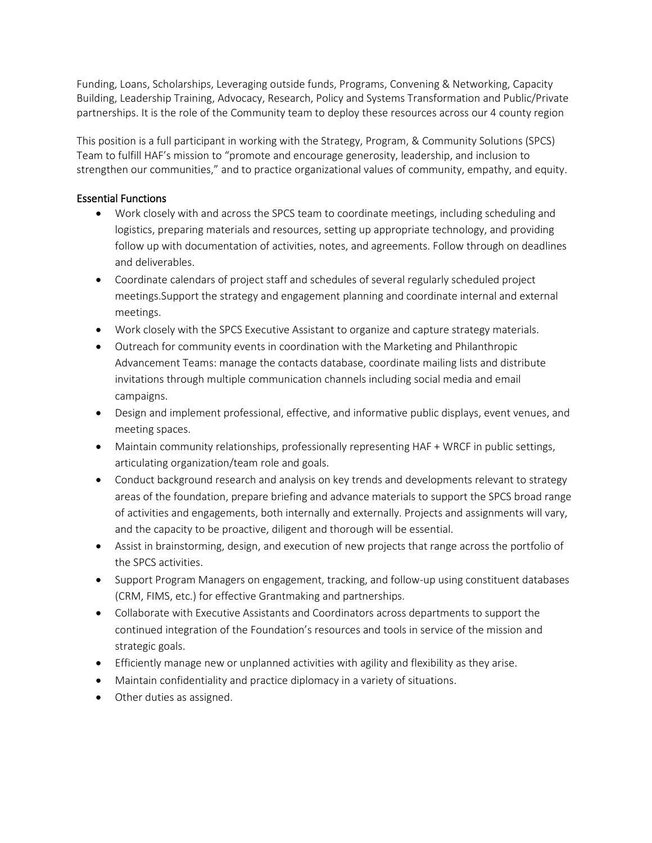Funding, Loans, Scholarships, Leveraging outside funds, Programs, Convening & Networking, Capacity Building, Leadership Training, Advocacy, Research, Policy and Systems Transformation and Public/Private partnerships. It is the role of the Community team to deploy these resources across our 4 county region

This position is a full participant in working with the Strategy, Program, & Community Solutions (SPCS) Team to fulfill HAF's mission to "promote and encourage generosity, leadership, and inclusion to strengthen our communities," and to practice organizational values of community, empathy, and equity.

# Essential Functions

- Work closely with and across the SPCS team to coordinate meetings, including scheduling and logistics, preparing materials and resources, setting up appropriate technology, and providing follow up with documentation of activities, notes, and agreements. Follow through on deadlines and deliverables.
- Coordinate calendars of project staff and schedules of several regularly scheduled project meetings.Support the strategy and engagement planning and coordinate internal and external meetings.
- Work closely with the SPCS Executive Assistant to organize and capture strategy materials.
- Outreach for community events in coordination with the Marketing and Philanthropic Advancement Teams: manage the contacts database, coordinate mailing lists and distribute invitations through multiple communication channels including social media and email campaigns.
- Design and implement professional, effective, and informative public displays, event venues, and meeting spaces.
- Maintain community relationships, professionally representing HAF + WRCF in public settings, articulating organization/team role and goals.
- Conduct background research and analysis on key trends and developments relevant to strategy areas of the foundation, prepare briefing and advance materials to support the SPCS broad range of activities and engagements, both internally and externally. Projects and assignments will vary, and the capacity to be proactive, diligent and thorough will be essential.
- Assist in brainstorming, design, and execution of new projects that range across the portfolio of the SPCS activities.
- Support Program Managers on engagement, tracking, and follow-up using constituent databases (CRM, FIMS, etc.) for effective Grantmaking and partnerships.
- Collaborate with Executive Assistants and Coordinators across departments to support the continued integration of the Foundation's resources and tools in service of the mission and strategic goals.
- Efficiently manage new or unplanned activities with agility and flexibility as they arise.
- Maintain confidentiality and practice diplomacy in a variety of situations.
- Other duties as assigned.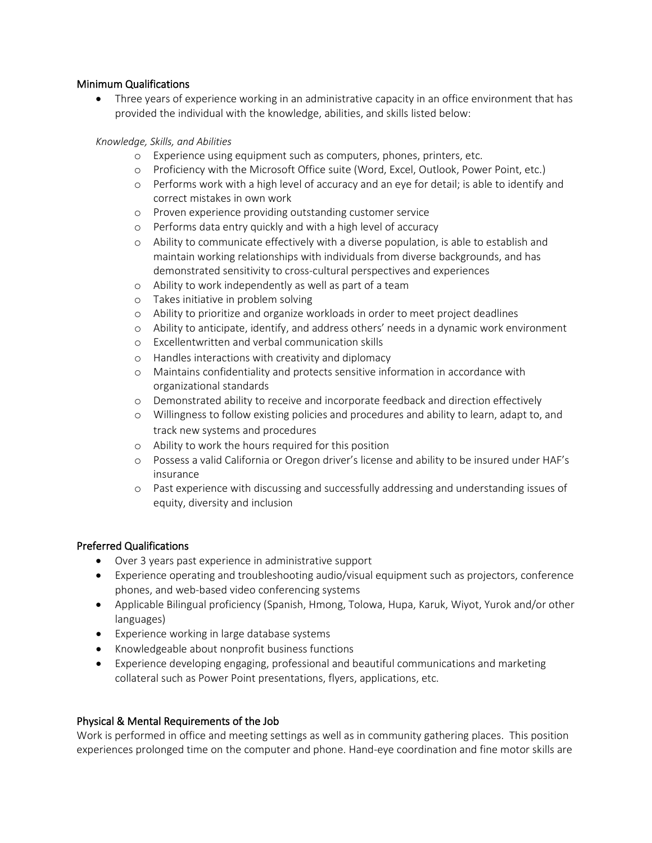### Minimum Qualifications

• Three years of experience working in an administrative capacity in an office environment that has provided the individual with the knowledge, abilities, and skills listed below:

### *Knowledge, Skills, and Abilities*

- o Experience using equipment such as computers, phones, printers, etc.
- o Proficiency with the Microsoft Office suite (Word, Excel, Outlook, Power Point, etc.)
- o Performs work with a high level of accuracy and an eye for detail; is able to identify and correct mistakes in own work
- o Proven experience providing outstanding customer service
- o Performs data entry quickly and with a high level of accuracy
- o Ability to communicate effectively with a diverse population, is able to establish and maintain working relationships with individuals from diverse backgrounds, and has demonstrated sensitivity to cross-cultural perspectives and experiences
- o Ability to work independently as well as part of a team
- o Takes initiative in problem solving
- o Ability to prioritize and organize workloads in order to meet project deadlines
- o Ability to anticipate, identify, and address others' needs in a dynamic work environment
- o Excellentwritten and verbal communication skills
- o Handles interactions with creativity and diplomacy
- o Maintains confidentiality and protects sensitive information in accordance with organizational standards
- o Demonstrated ability to receive and incorporate feedback and direction effectively
- o Willingness to follow existing policies and procedures and ability to learn, adapt to, and track new systems and procedures
- o Ability to work the hours required for this position
- o Possess a valid California or Oregon driver's license and ability to be insured under HAF's insurance
- o Past experience with discussing and successfully addressing and understanding issues of equity, diversity and inclusion

### Preferred Qualifications

- Over 3 years past experience in administrative support
- Experience operating and troubleshooting audio/visual equipment such as projectors, conference phones, and web-based video conferencing systems
- Applicable Bilingual proficiency (Spanish, Hmong, Tolowa, Hupa, Karuk, Wiyot, Yurok and/or other languages)
- Experience working in large database systems
- Knowledgeable about nonprofit business functions
- Experience developing engaging, professional and beautiful communications and marketing collateral such as Power Point presentations, flyers, applications, etc.

# Physical & Mental Requirements of the Job

Work is performed in office and meeting settings as well as in community gathering places. This position experiences prolonged time on the computer and phone. Hand-eye coordination and fine motor skills are